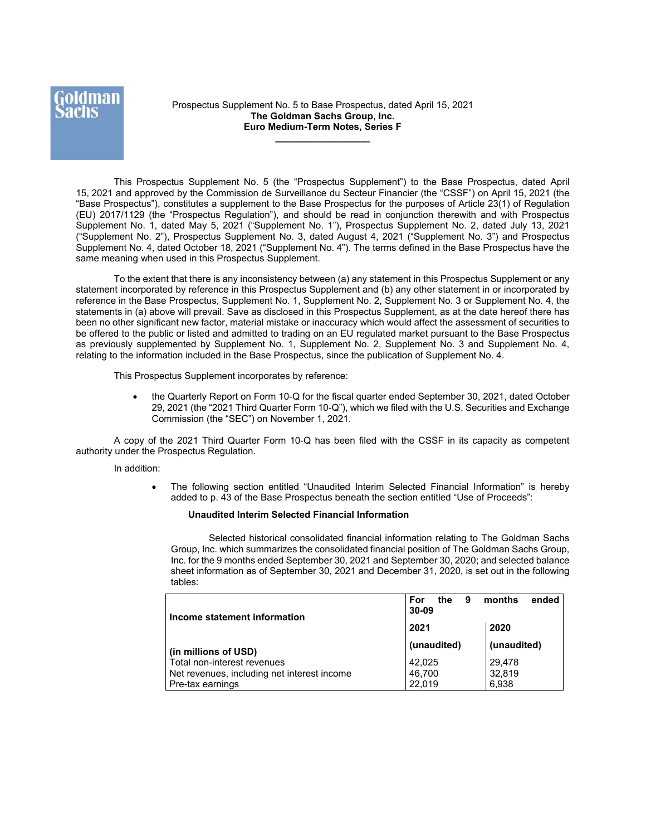Prospectus Supplement No. 5 to Base Prospectus, dated April 15, 2021 **The Goldman Sachs Group, Inc. Euro Medium-Term Notes, Series F**

**——————————** 

This Prospectus Supplement No. 5 (the "Prospectus Supplement") to the Base Prospectus, dated April 15, 2021 and approved by the Commission de Surveillance du Secteur Financier (the "CSSF") on April 15, 2021 (the "Base Prospectus"), constitutes a supplement to the Base Prospectus for the purposes of Article 23(1) of Regulation (EU) 2017/1129 (the "Prospectus Regulation"), and should be read in conjunction therewith and with Prospectus Supplement No. 1, dated May 5, 2021 ("Supplement No. 1"), Prospectus Supplement No. 2, dated July 13, 2021 ("Supplement No. 2"), Prospectus Supplement No. 3, dated August 4, 2021 ("Supplement No. 3") and Prospectus Supplement No. 4, dated October 18, 2021 ("Supplement No. 4"). The terms defined in the Base Prospectus have the same meaning when used in this Prospectus Supplement.

To the extent that there is any inconsistency between (a) any statement in this Prospectus Supplement or any statement incorporated by reference in this Prospectus Supplement and (b) any other statement in or incorporated by reference in the Base Prospectus, Supplement No. 1, Supplement No. 2, Supplement No. 3 or Supplement No. 4, the statements in (a) above will prevail. Save as disclosed in this Prospectus Supplement, as at the date hereof there has been no other significant new factor, material mistake or inaccuracy which would affect the assessment of securities to be offered to the public or listed and admitted to trading on an EU regulated market pursuant to the Base Prospectus as previously supplemented by Supplement No. 1, Supplement No. 2, Supplement No. 3 and Supplement No. 4, relating to the information included in the Base Prospectus, since the publication of Supplement No. 4.

This Prospectus Supplement incorporates by reference:

• the Quarterly Report on Form 10-Q for the fiscal quarter ended September 30, 2021, dated October 29, 2021 (the "2021 Third Quarter Form 10-Q"), which we filed with the U.S. Securities and Exchange Commission (the "SEC") on November 1, 2021.

 A copy of the 2021 Third Quarter Form 10-Q has been filed with the CSSF in its capacity as competent authority under the Prospectus Regulation.

## In addition:

 The following section entitled "Unaudited Interim Selected Financial Information" is hereby added to p. 43 of the Base Prospectus beneath the section entitled "Use of Proceeds":

## **Unaudited Interim Selected Financial Information**

 Selected historical consolidated financial information relating to The Goldman Sachs Group, Inc. which summarizes the consolidated financial position of The Goldman Sachs Group, Inc. for the 9 months ended September 30, 2021 and September 30, 2020; and selected balance sheet information as of September 30, 2021 and December 31, 2020, is set out in the following tables:

| Income statement information                | For<br>the<br>9<br>$30 - 09$ | ended<br>months |
|---------------------------------------------|------------------------------|-----------------|
|                                             | 2021                         | 2020            |
| (in millions of USD)                        | (unaudited)                  | (unaudited)     |
| Total non-interest revenues                 | 42,025                       | 29.478          |
| Net revenues, including net interest income | 46,700                       | 32,819          |
| Pre-tax earnings                            | 22.019                       | 6,938           |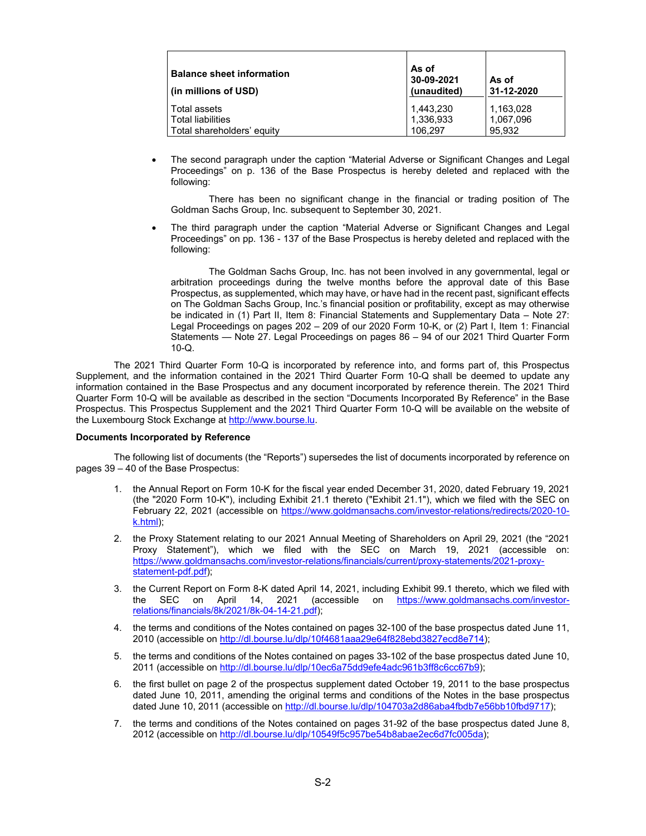| <b>Balance sheet information</b><br>I (in millions of USD) | As of<br>30-09-2021<br>(unaudited) | As of<br>31-12-2020 |
|------------------------------------------------------------|------------------------------------|---------------------|
| Total assets                                               | 1,443,230                          | 1,163,028           |
| Total liabilities                                          | 1,336,933                          | 1,067,096           |
| l Total shareholders' equity                               | 106.297                            | 95.932              |

 The second paragraph under the caption "Material Adverse or Significant Changes and Legal Proceedings" on p. 136 of the Base Prospectus is hereby deleted and replaced with the following:

There has been no significant change in the financial or trading position of The Goldman Sachs Group, Inc. subsequent to September 30, 2021.

 The third paragraph under the caption "Material Adverse or Significant Changes and Legal Proceedings" on pp. 136 - 137 of the Base Prospectus is hereby deleted and replaced with the following:

 The Goldman Sachs Group, Inc. has not been involved in any governmental, legal or arbitration proceedings during the twelve months before the approval date of this Base Prospectus, as supplemented, which may have, or have had in the recent past, significant effects on The Goldman Sachs Group, Inc.'s financial position or profitability, except as may otherwise be indicated in (1) Part II, Item 8: Financial Statements and Supplementary Data – Note 27: Legal Proceedings on pages 202 – 209 of our 2020 Form 10-K, or (2) Part I, Item 1: Financial Statements — Note 27. Legal Proceedings on pages 86 – 94 of our 2021 Third Quarter Form 10-Q.

 The 2021 Third Quarter Form 10-Q is incorporated by reference into, and forms part of, this Prospectus Supplement, and the information contained in the 2021 Third Quarter Form 10-Q shall be deemed to update any information contained in the Base Prospectus and any document incorporated by reference therein. The 2021 Third Quarter Form 10-Q will be available as described in the section "Documents Incorporated By Reference" in the Base Prospectus. This Prospectus Supplement and the 2021 Third Quarter Form 10-Q will be available on the website of the Luxembourg Stock Exchange at http://www.bourse.lu.

## **Documents Incorporated by Reference**

The following list of documents (the "Reports") supersedes the list of documents incorporated by reference on pages 39 – 40 of the Base Prospectus:

- 1. the Annual Report on Form 10-K for the fiscal year ended December 31, 2020, dated February 19, 2021 (the "2020 Form 10-K"), including Exhibit 21.1 thereto ("Exhibit 21.1"), which we filed with the SEC on February 22, 2021 (accessible on https://www.goldmansachs.com/investor-relations/redirects/2020-10 k.html);
- 2. the Proxy Statement relating to our 2021 Annual Meeting of Shareholders on April 29, 2021 (the "2021 Proxy Statement"), which we filed with the SEC on March 19, 2021 (accessible on: https://www.goldmansachs.com/investor-relations/financials/current/proxy-statements/2021-proxystatement-pdf.pdf);
- 3. the Current Report on Form 8-K dated April 14, 2021, including Exhibit 99.1 thereto, which we filed with the SEC on April 14, 2021 (accessible on https://www.goldmansachs.com/investorrelations/financials/8k/2021/8k-04-14-21.pdf);
- 4. the terms and conditions of the Notes contained on pages 32-100 of the base prospectus dated June 11, 2010 (accessible on http://dl.bourse.lu/dlp/10f4681aaa29e64f828ebd3827ecd8e714);
- 5. the terms and conditions of the Notes contained on pages 33-102 of the base prospectus dated June 10, 2011 (accessible on http://dl.bourse.lu/dlp/10ec6a75dd9efe4adc961b3ff8c6cc67b9);
- 6. the first bullet on page 2 of the prospectus supplement dated October 19, 2011 to the base prospectus dated June 10, 2011, amending the original terms and conditions of the Notes in the base prospectus dated June 10, 2011 (accessible on http://dl.bourse.lu/dlp/104703a2d86aba4fbdb7e56bb10fbd9717);
- 7. the terms and conditions of the Notes contained on pages 31-92 of the base prospectus dated June 8, 2012 (accessible on http://dl.bourse.lu/dlp/10549f5c957be54b8abae2ec6d7fc005da);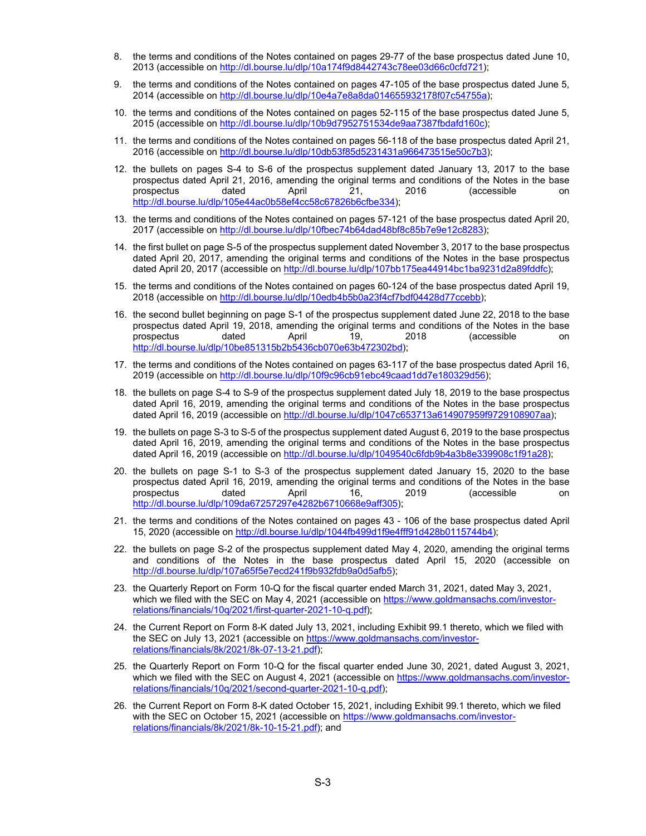- 8. the terms and conditions of the Notes contained on pages 29-77 of the base prospectus dated June 10, 2013 (accessible on http://dl.bourse.lu/dlp/10a174f9d8442743c78ee03d66c0cfd721);
- 9. the terms and conditions of the Notes contained on pages 47-105 of the base prospectus dated June 5, 2014 (accessible on http://dl.bourse.lu/dlp/10e4a7e8a8da014655932178f07c54755a);
- 10. the terms and conditions of the Notes contained on pages 52-115 of the base prospectus dated June 5, 2015 (accessible on http://dl.bourse.lu/dlp/10b9d7952751534de9aa7387fbdafd160c);
- 11. the terms and conditions of the Notes contained on pages 56-118 of the base prospectus dated April 21, 2016 (accessible on http://dl.bourse.lu/dlp/10db53f85d5231431a966473515e50c7b3);
- 12. the bullets on pages S-4 to S-6 of the prospectus supplement dated January 13, 2017 to the base prospectus dated April 21, 2016, amending the original terms and conditions of the Notes in the base<br>prospectus dated April 21. 2016 (accessible on prospectus dated April 21, 2016 (accessible on http://dl.bourse.lu/dlp/105e44ac0b58ef4cc58c67826b6cfbe334);
- 13. the terms and conditions of the Notes contained on pages 57-121 of the base prospectus dated April 20, 2017 (accessible on http://dl.bourse.lu/dlp/10fbec74b64dad48bf8c85b7e9e12c8283);
- 14. the first bullet on page S-5 of the prospectus supplement dated November 3, 2017 to the base prospectus dated April 20, 2017, amending the original terms and conditions of the Notes in the base prospectus dated April 20, 2017 (accessible on http://dl.bourse.lu/dlp/107bb175ea44914bc1ba9231d2a89fddfc);
- 15. the terms and conditions of the Notes contained on pages 60-124 of the base prospectus dated April 19, 2018 (accessible on http://dl.bourse.lu/dlp/10edb4b5b0a23f4cf7bdf04428d77ccebb);
- 16. the second bullet beginning on page S-1 of the prospectus supplement dated June 22, 2018 to the base prospectus dated April 19, 2018, amending the original terms and conditions of the Notes in the base prospectus dated April 19, 2018 (accessible on http://dl.bourse.lu/dlp/10be851315b2b5436cb070e63b472302bd);
- 17. the terms and conditions of the Notes contained on pages 63-117 of the base prospectus dated April 16, 2019 (accessible on http://dl.bourse.lu/dlp/10f9c96cb91ebc49caad1dd7e180329d56);
- 18. the bullets on page S-4 to S-9 of the prospectus supplement dated July 18, 2019 to the base prospectus dated April 16, 2019, amending the original terms and conditions of the Notes in the base prospectus dated April 16, 2019 (accessible on http://dl.bourse.lu/dlp/1047c653713a614907959f9729108907aa);
- 19. the bullets on page S-3 to S-5 of the prospectus supplement dated August 6, 2019 to the base prospectus dated April 16, 2019, amending the original terms and conditions of the Notes in the base prospectus dated April 16, 2019 (accessible on http://dl.bourse.lu/dlp/1049540c6fdb9b4a3b8e339908c1f91a28);
- 20. the bullets on page S-1 to S-3 of the prospectus supplement dated January 15, 2020 to the base prospectus dated April 16, 2019, amending the original terms and conditions of the Notes in the base prospectus dated April 16, 2019 (accessible on http://dl.bourse.lu/dlp/109da67257297e4282b6710668e9aff305);
- 21. the terms and conditions of the Notes contained on pages 43 106 of the base prospectus dated April 15, 2020 (accessible on http://dl.bourse.lu/dlp/1044fb499d1f9e4fff91d428b0115744b4);
- 22. the bullets on page S-2 of the prospectus supplement dated May 4, 2020, amending the original terms and conditions of the Notes in the base prospectus dated April 15, 2020 (accessible on http://dl.bourse.lu/dlp/107a65f5e7ecd241f9b932fdb9a0d5afb5);
- 23. the Quarterly Report on Form 10-Q for the fiscal quarter ended March 31, 2021, dated May 3, 2021, which we filed with the SEC on May 4, 2021 (accessible on https://www.goldmansachs.com/investorrelations/financials/10q/2021/first-quarter-2021-10-q.pdf);
- 24. the Current Report on Form 8-K dated July 13, 2021, including Exhibit 99.1 thereto, which we filed with the SEC on July 13, 2021 (accessible on https://www.goldmansachs.com/investorrelations/financials/8k/2021/8k-07-13-21.pdf);
- 25. the Quarterly Report on Form 10-Q for the fiscal quarter ended June 30, 2021, dated August 3, 2021, which we filed with the SEC on August 4, 2021 (accessible on https://www.goldmansachs.com/investorrelations/financials/10q/2021/second-quarter-2021-10-q.pdf);
- 26. the Current Report on Form 8-K dated October 15, 2021, including Exhibit 99.1 thereto, which we filed with the SEC on October 15, 2021 (accessible on https://www.goldmansachs.com/investorrelations/financials/8k/2021/8k-10-15-21.pdf); and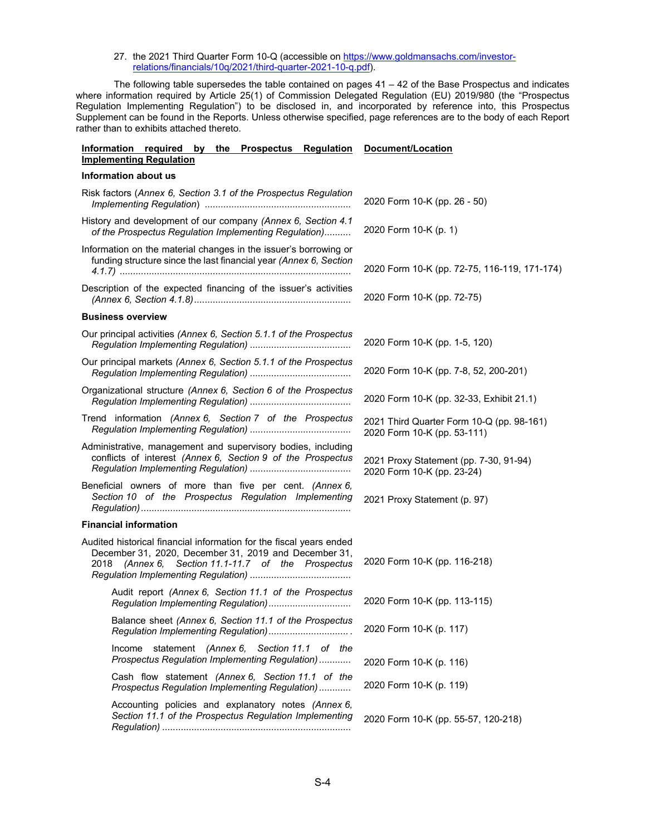27. the 2021 Third Quarter Form 10-Q (accessible on https://www.goldmansachs.com/investorrelations/financials/10q/2021/third-quarter-2021-10-q.pdf).

The following table supersedes the table contained on pages 41 – 42 of the Base Prospectus and indicates where information required by Article 25(1) of Commission Delegated Regulation (EU) 2019/980 (the "Prospectus Regulation Implementing Regulation") to be disclosed in, and incorporated by reference into, this Prospectus Supplement can be found in the Reports. Unless otherwise specified, page references are to the body of each Report rather than to exhibits attached thereto.

| Information required<br>by the<br><b>Prospectus Requiation</b><br><b>Implementing Regulation</b>                                                                                      | Document/Location                                                        |
|---------------------------------------------------------------------------------------------------------------------------------------------------------------------------------------|--------------------------------------------------------------------------|
| <b>Information about us</b>                                                                                                                                                           |                                                                          |
| Risk factors (Annex 6, Section 3.1 of the Prospectus Regulation                                                                                                                       | 2020 Form 10-K (pp. 26 - 50)                                             |
| History and development of our company (Annex 6, Section 4.1<br>of the Prospectus Regulation Implementing Regulation)                                                                 | 2020 Form 10-K (p. 1)                                                    |
| Information on the material changes in the issuer's borrowing or<br>funding structure since the last financial year (Annex 6, Section                                                 | 2020 Form 10-K (pp. 72-75, 116-119, 171-174)                             |
| Description of the expected financing of the issuer's activities                                                                                                                      | 2020 Form 10-K (pp. 72-75)                                               |
| <b>Business overview</b>                                                                                                                                                              |                                                                          |
| Our principal activities (Annex 6, Section 5.1.1 of the Prospectus                                                                                                                    | 2020 Form 10-K (pp. 1-5, 120)                                            |
| Our principal markets (Annex 6, Section 5.1.1 of the Prospectus                                                                                                                       | 2020 Form 10-K (pp. 7-8, 52, 200-201)                                    |
| Organizational structure (Annex 6, Section 6 of the Prospectus                                                                                                                        | 2020 Form 10-K (pp. 32-33, Exhibit 21.1)                                 |
| Trend information (Annex 6, Section 7 of the Prospectus                                                                                                                               | 2021 Third Quarter Form 10-Q (pp. 98-161)<br>2020 Form 10-K (pp. 53-111) |
| Administrative, management and supervisory bodies, including<br>conflicts of interest (Annex 6, Section 9 of the Prospectus                                                           | 2021 Proxy Statement (pp. 7-30, 91-94)<br>2020 Form 10-K (pp. 23-24)     |
| Beneficial owners of more than five per cent. (Annex 6,<br>Section 10 of the Prospectus Regulation Implementing                                                                       | 2021 Proxy Statement (p. 97)                                             |
| <b>Financial information</b>                                                                                                                                                          |                                                                          |
| Audited historical financial information for the fiscal years ended<br>December 31, 2020, December 31, 2019 and December 31,<br>(Annex 6, Section 11.1-11.7 of the Prospectus<br>2018 | 2020 Form 10-K (pp. 116-218)                                             |
| Audit report (Annex 6, Section 11.1 of the Prospectus                                                                                                                                 | 2020 Form 10-K (pp. 113-115)                                             |
| Balance sheet (Annex 6, Section 11.1 of the Prospectus<br>Regulation Implementing Regulation)                                                                                         | 2020 Form 10-K (p. 117)                                                  |
| Income statement (Annex 6,<br>Section 11.1 of the<br>Prospectus Regulation Implementing Regulation)                                                                                   | 2020 Form 10-K (p. 116)                                                  |
| Cash flow statement (Annex 6, Section 11.1 of the<br>Prospectus Regulation Implementing Regulation)                                                                                   | 2020 Form 10-K (p. 119)                                                  |
| Accounting policies and explanatory notes (Annex 6,<br>Section 11.1 of the Prospectus Regulation Implementing                                                                         | 2020 Form 10-K (pp. 55-57, 120-218)                                      |